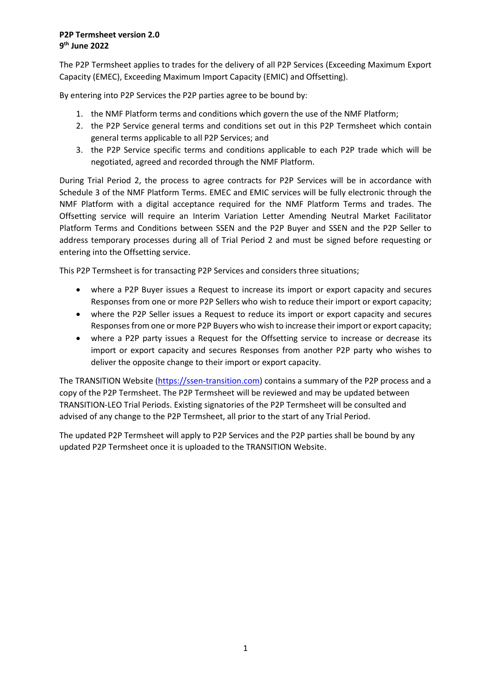## **P2P Termsheet version 2.0 9 th June 2022**

The P2P Termsheet applies to trades for the delivery of all P2P Services (Exceeding Maximum Export Capacity (EMEC), Exceeding Maximum Import Capacity (EMIC) and Offsetting).

By entering into P2P Services the P2P parties agree to be bound by:

- 1. the NMF Platform terms and conditions which govern the use of the NMF Platform;
- 2. the P2P Service general terms and conditions set out in this P2P Termsheet which contain general terms applicable to all P2P Services; and
- 3. the P2P Service specific terms and conditions applicable to each P2P trade which will be negotiated, agreed and recorded through the NMF Platform.

During Trial Period 2, the process to agree contracts for P2P Services will be in accordance with Schedule 3 of the NMF Platform Terms. EMEC and EMIC services will be fully electronic through the NMF Platform with a digital acceptance required for the NMF Platform Terms and trades. The Offsetting service will require an Interim Variation Letter Amending Neutral Market Facilitator Platform Terms and Conditions between SSEN and the P2P Buyer and SSEN and the P2P Seller to address temporary processes during all of Trial Period 2 and must be signed before requesting or entering into the Offsetting service.

This P2P Termsheet is for transacting P2P Services and considers three situations;

- where a P2P Buyer issues a Request to increase its import or export capacity and secures Responses from one or more P2P Sellers who wish to reduce their import or export capacity;
- where the P2P Seller issues a Request to reduce its import or export capacity and secures Responses from one or more P2P Buyers who wish to increase their import or export capacity;
- where a P2P party issues a Request for the Offsetting service to increase or decrease its import or export capacity and secures Responses from another P2P party who wishes to deliver the opposite change to their import or export capacity.

The TRANSITION Website [\(https://ssen-transition.com\)](https://ssen-transition.com/) contains a summary of the P2P process and a copy of the P2P Termsheet. The P2P Termsheet will be reviewed and may be updated between TRANSITION-LEO Trial Periods. Existing signatories of the P2P Termsheet will be consulted and advised of any change to the P2P Termsheet, all prior to the start of any Trial Period.

The updated P2P Termsheet will apply to P2P Services and the P2P parties shall be bound by any updated P2P Termsheet once it is uploaded to the TRANSITION Website.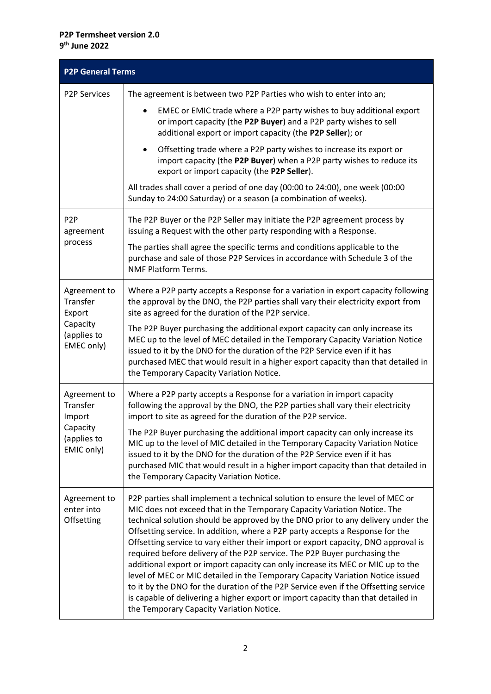## **P2P Termsheet version 2.0 9 th June 2022**

| <b>P2P General Terms</b>                                                    |                                                                                                                                                                                                                                                                                                                                                                                                                                                                                                                                                                                                                                                                                                                                                                                                                                                                                                 |  |
|-----------------------------------------------------------------------------|-------------------------------------------------------------------------------------------------------------------------------------------------------------------------------------------------------------------------------------------------------------------------------------------------------------------------------------------------------------------------------------------------------------------------------------------------------------------------------------------------------------------------------------------------------------------------------------------------------------------------------------------------------------------------------------------------------------------------------------------------------------------------------------------------------------------------------------------------------------------------------------------------|--|
| <b>P2P Services</b>                                                         | The agreement is between two P2P Parties who wish to enter into an;                                                                                                                                                                                                                                                                                                                                                                                                                                                                                                                                                                                                                                                                                                                                                                                                                             |  |
|                                                                             | EMEC or EMIC trade where a P2P party wishes to buy additional export<br>$\bullet$<br>or import capacity (the P2P Buyer) and a P2P party wishes to sell<br>additional export or import capacity (the P2P Seller); or                                                                                                                                                                                                                                                                                                                                                                                                                                                                                                                                                                                                                                                                             |  |
|                                                                             | Offsetting trade where a P2P party wishes to increase its export or<br>٠<br>import capacity (the P2P Buyer) when a P2P party wishes to reduce its<br>export or import capacity (the P2P Seller).                                                                                                                                                                                                                                                                                                                                                                                                                                                                                                                                                                                                                                                                                                |  |
|                                                                             | All trades shall cover a period of one day (00:00 to 24:00), one week (00:00<br>Sunday to 24:00 Saturday) or a season (a combination of weeks).                                                                                                                                                                                                                                                                                                                                                                                                                                                                                                                                                                                                                                                                                                                                                 |  |
| P <sub>2</sub> P<br>agreement<br>process                                    | The P2P Buyer or the P2P Seller may initiate the P2P agreement process by<br>issuing a Request with the other party responding with a Response.                                                                                                                                                                                                                                                                                                                                                                                                                                                                                                                                                                                                                                                                                                                                                 |  |
|                                                                             | The parties shall agree the specific terms and conditions applicable to the<br>purchase and sale of those P2P Services in accordance with Schedule 3 of the<br><b>NMF Platform Terms.</b>                                                                                                                                                                                                                                                                                                                                                                                                                                                                                                                                                                                                                                                                                                       |  |
| Agreement to<br>Transfer<br>Export<br>Capacity<br>(applies to<br>EMEC only) | Where a P2P party accepts a Response for a variation in export capacity following<br>the approval by the DNO, the P2P parties shall vary their electricity export from<br>site as agreed for the duration of the P2P service.                                                                                                                                                                                                                                                                                                                                                                                                                                                                                                                                                                                                                                                                   |  |
|                                                                             | The P2P Buyer purchasing the additional export capacity can only increase its<br>MEC up to the level of MEC detailed in the Temporary Capacity Variation Notice<br>issued to it by the DNO for the duration of the P2P Service even if it has<br>purchased MEC that would result in a higher export capacity than that detailed in<br>the Temporary Capacity Variation Notice.                                                                                                                                                                                                                                                                                                                                                                                                                                                                                                                  |  |
| Agreement to<br>Transfer<br>Import<br>Capacity<br>(applies to<br>EMIC only) | Where a P2P party accepts a Response for a variation in import capacity<br>following the approval by the DNO, the P2P parties shall vary their electricity<br>import to site as agreed for the duration of the P2P service.                                                                                                                                                                                                                                                                                                                                                                                                                                                                                                                                                                                                                                                                     |  |
|                                                                             | The P2P Buyer purchasing the additional import capacity can only increase its<br>MIC up to the level of MIC detailed in the Temporary Capacity Variation Notice<br>issued to it by the DNO for the duration of the P2P Service even if it has<br>purchased MIC that would result in a higher import capacity than that detailed in<br>the Temporary Capacity Variation Notice.                                                                                                                                                                                                                                                                                                                                                                                                                                                                                                                  |  |
| Agreement to<br>enter into<br>Offsetting                                    | P2P parties shall implement a technical solution to ensure the level of MEC or<br>MIC does not exceed that in the Temporary Capacity Variation Notice. The<br>technical solution should be approved by the DNO prior to any delivery under the<br>Offsetting service. In addition, where a P2P party accepts a Response for the<br>Offsetting service to vary either their import or export capacity, DNO approval is<br>required before delivery of the P2P service. The P2P Buyer purchasing the<br>additional export or import capacity can only increase its MEC or MIC up to the<br>level of MEC or MIC detailed in the Temporary Capacity Variation Notice issued<br>to it by the DNO for the duration of the P2P Service even if the Offsetting service<br>is capable of delivering a higher export or import capacity than that detailed in<br>the Temporary Capacity Variation Notice. |  |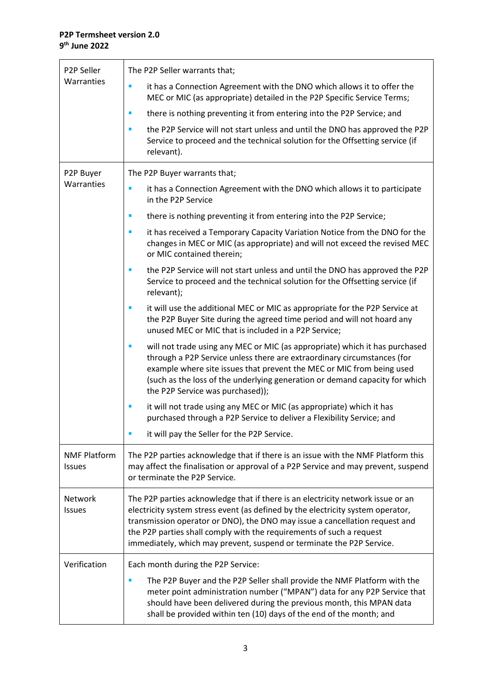| P2P Seller<br>Warranties             | The P2P Seller warrants that;                                                                                                                                                                                                                                                                                                                                                                      |
|--------------------------------------|----------------------------------------------------------------------------------------------------------------------------------------------------------------------------------------------------------------------------------------------------------------------------------------------------------------------------------------------------------------------------------------------------|
|                                      | it has a Connection Agreement with the DNO which allows it to offer the<br>П<br>MEC or MIC (as appropriate) detailed in the P2P Specific Service Terms;                                                                                                                                                                                                                                            |
|                                      | there is nothing preventing it from entering into the P2P Service; and<br>п                                                                                                                                                                                                                                                                                                                        |
|                                      | the P2P Service will not start unless and until the DNO has approved the P2P<br>П<br>Service to proceed and the technical solution for the Offsetting service (if<br>relevant).                                                                                                                                                                                                                    |
| P2P Buyer                            | The P2P Buyer warrants that;                                                                                                                                                                                                                                                                                                                                                                       |
| Warranties                           | it has a Connection Agreement with the DNO which allows it to participate<br>×<br>in the P2P Service                                                                                                                                                                                                                                                                                               |
|                                      | there is nothing preventing it from entering into the P2P Service;<br>I.                                                                                                                                                                                                                                                                                                                           |
|                                      | it has received a Temporary Capacity Variation Notice from the DNO for the<br>$\blacksquare$<br>changes in MEC or MIC (as appropriate) and will not exceed the revised MEC<br>or MIC contained therein;                                                                                                                                                                                            |
|                                      | the P2P Service will not start unless and until the DNO has approved the P2P<br>ш<br>Service to proceed and the technical solution for the Offsetting service (if<br>relevant);                                                                                                                                                                                                                    |
|                                      | it will use the additional MEC or MIC as appropriate for the P2P Service at<br>ш<br>the P2P Buyer Site during the agreed time period and will not hoard any<br>unused MEC or MIC that is included in a P2P Service;                                                                                                                                                                                |
|                                      | will not trade using any MEC or MIC (as appropriate) which it has purchased<br>$\blacksquare$<br>through a P2P Service unless there are extraordinary circumstances (for<br>example where site issues that prevent the MEC or MIC from being used<br>(such as the loss of the underlying generation or demand capacity for which<br>the P2P Service was purchased));                               |
|                                      | it will not trade using any MEC or MIC (as appropriate) which it has<br>п<br>purchased through a P2P Service to deliver a Flexibility Service; and                                                                                                                                                                                                                                                 |
|                                      | it will pay the Seller for the P2P Service.                                                                                                                                                                                                                                                                                                                                                        |
| <b>NMF Platform</b><br><b>Issues</b> | The P2P parties acknowledge that if there is an issue with the NMF Platform this<br>may affect the finalisation or approval of a P2P Service and may prevent, suspend<br>or terminate the P2P Service.                                                                                                                                                                                             |
| Network<br><b>Issues</b>             | The P2P parties acknowledge that if there is an electricity network issue or an<br>electricity system stress event (as defined by the electricity system operator,<br>transmission operator or DNO), the DNO may issue a cancellation request and<br>the P2P parties shall comply with the requirements of such a request<br>immediately, which may prevent, suspend or terminate the P2P Service. |
| Verification                         | Each month during the P2P Service:                                                                                                                                                                                                                                                                                                                                                                 |
|                                      | The P2P Buyer and the P2P Seller shall provide the NMF Platform with the<br>meter point administration number ("MPAN") data for any P2P Service that<br>should have been delivered during the previous month, this MPAN data<br>shall be provided within ten (10) days of the end of the month; and                                                                                                |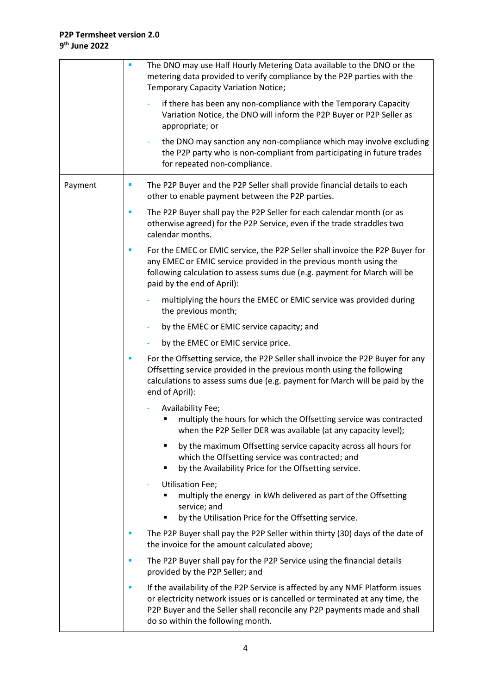|         | The DNO may use Half Hourly Metering Data available to the DNO or the<br>metering data provided to verify compliance by the P2P parties with the<br><b>Temporary Capacity Variation Notice;</b>                                                                                     |
|---------|-------------------------------------------------------------------------------------------------------------------------------------------------------------------------------------------------------------------------------------------------------------------------------------|
|         | if there has been any non-compliance with the Temporary Capacity<br>Variation Notice, the DNO will inform the P2P Buyer or P2P Seller as<br>appropriate; or                                                                                                                         |
|         | the DNO may sanction any non-compliance which may involve excluding<br>the P2P party who is non-compliant from participating in future trades<br>for repeated non-compliance.                                                                                                       |
| Payment | The P2P Buyer and the P2P Seller shall provide financial details to each<br>I.<br>other to enable payment between the P2P parties.                                                                                                                                                  |
|         | The P2P Buyer shall pay the P2P Seller for each calendar month (or as<br>ш<br>otherwise agreed) for the P2P Service, even if the trade straddles two<br>calendar months.                                                                                                            |
|         | For the EMEC or EMIC service, the P2P Seller shall invoice the P2P Buyer for<br>ш<br>any EMEC or EMIC service provided in the previous month using the<br>following calculation to assess sums due (e.g. payment for March will be<br>paid by the end of April):                    |
|         | multiplying the hours the EMEC or EMIC service was provided during<br>the previous month;                                                                                                                                                                                           |
|         | by the EMEC or EMIC service capacity; and<br>÷                                                                                                                                                                                                                                      |
|         | by the EMEC or EMIC service price.                                                                                                                                                                                                                                                  |
|         | For the Offsetting service, the P2P Seller shall invoice the P2P Buyer for any<br>Offsetting service provided in the previous month using the following<br>calculations to assess sums due (e.g. payment for March will be paid by the<br>end of April):                            |
|         | Availability Fee;<br>multiply the hours for which the Offsetting service was contracted<br>٠<br>when the P2P Seller DER was available (at any capacity level);                                                                                                                      |
|         | by the maximum Offsetting service capacity across all hours for<br>٠<br>which the Offsetting service was contracted; and<br>by the Availability Price for the Offsetting service.<br>٠                                                                                              |
|         | <b>Utilisation Fee;</b><br>multiply the energy in kWh delivered as part of the Offsetting<br>service; and<br>by the Utilisation Price for the Offsetting service.<br>٠                                                                                                              |
|         | The P2P Buyer shall pay the P2P Seller within thirty (30) days of the date of<br>ш<br>the invoice for the amount calculated above;                                                                                                                                                  |
|         | The P2P Buyer shall pay for the P2P Service using the financial details<br>×<br>provided by the P2P Seller; and                                                                                                                                                                     |
|         | If the availability of the P2P Service is affected by any NMF Platform issues<br>×<br>or electricity network issues or is cancelled or terminated at any time, the<br>P2P Buyer and the Seller shall reconcile any P2P payments made and shall<br>do so within the following month. |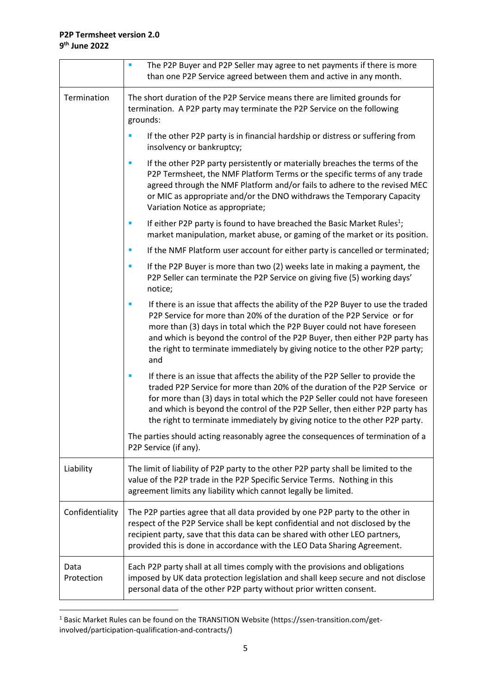|                    | The P2P Buyer and P2P Seller may agree to net payments if there is more<br>than one P2P Service agreed between them and active in any month.                                                                                                                                                                                                                                                                     |
|--------------------|------------------------------------------------------------------------------------------------------------------------------------------------------------------------------------------------------------------------------------------------------------------------------------------------------------------------------------------------------------------------------------------------------------------|
| Termination        | The short duration of the P2P Service means there are limited grounds for<br>termination. A P2P party may terminate the P2P Service on the following<br>grounds:                                                                                                                                                                                                                                                 |
|                    | If the other P2P party is in financial hardship or distress or suffering from<br>П<br>insolvency or bankruptcy;                                                                                                                                                                                                                                                                                                  |
|                    | If the other P2P party persistently or materially breaches the terms of the<br>ш<br>P2P Termsheet, the NMF Platform Terms or the specific terms of any trade<br>agreed through the NMF Platform and/or fails to adhere to the revised MEC<br>or MIC as appropriate and/or the DNO withdraws the Temporary Capacity<br>Variation Notice as appropriate;                                                           |
|                    | If either P2P party is found to have breached the Basic Market Rules <sup>1</sup> ;<br>п<br>market manipulation, market abuse, or gaming of the market or its position.                                                                                                                                                                                                                                          |
|                    | If the NMF Platform user account for either party is cancelled or terminated;<br>$\blacksquare$                                                                                                                                                                                                                                                                                                                  |
|                    | If the P2P Buyer is more than two (2) weeks late in making a payment, the<br>$\blacksquare$<br>P2P Seller can terminate the P2P Service on giving five (5) working days'<br>notice;                                                                                                                                                                                                                              |
|                    | If there is an issue that affects the ability of the P2P Buyer to use the traded<br>×<br>P2P Service for more than 20% of the duration of the P2P Service or for<br>more than (3) days in total which the P2P Buyer could not have foreseen<br>and which is beyond the control of the P2P Buyer, then either P2P party has<br>the right to terminate immediately by giving notice to the other P2P party;<br>and |
|                    | If there is an issue that affects the ability of the P2P Seller to provide the<br>traded P2P Service for more than 20% of the duration of the P2P Service or<br>for more than (3) days in total which the P2P Seller could not have foreseen<br>and which is beyond the control of the P2P Seller, then either P2P party has<br>the right to terminate immediately by giving notice to the other P2P party.      |
|                    | The parties should acting reasonably agree the consequences of termination of a<br>P2P Service (if any).                                                                                                                                                                                                                                                                                                         |
| Liability          | The limit of liability of P2P party to the other P2P party shall be limited to the<br>value of the P2P trade in the P2P Specific Service Terms. Nothing in this<br>agreement limits any liability which cannot legally be limited.                                                                                                                                                                               |
| Confidentiality    | The P2P parties agree that all data provided by one P2P party to the other in<br>respect of the P2P Service shall be kept confidential and not disclosed by the<br>recipient party, save that this data can be shared with other LEO partners,<br>provided this is done in accordance with the LEO Data Sharing Agreement.                                                                                       |
| Data<br>Protection | Each P2P party shall at all times comply with the provisions and obligations<br>imposed by UK data protection legislation and shall keep secure and not disclose<br>personal data of the other P2P party without prior written consent.                                                                                                                                                                          |

<sup>1</sup> Basic Market Rules can be found on the TRANSITION Website (https://ssen-transition.com/getinvolved/participation-qualification-and-contracts/)